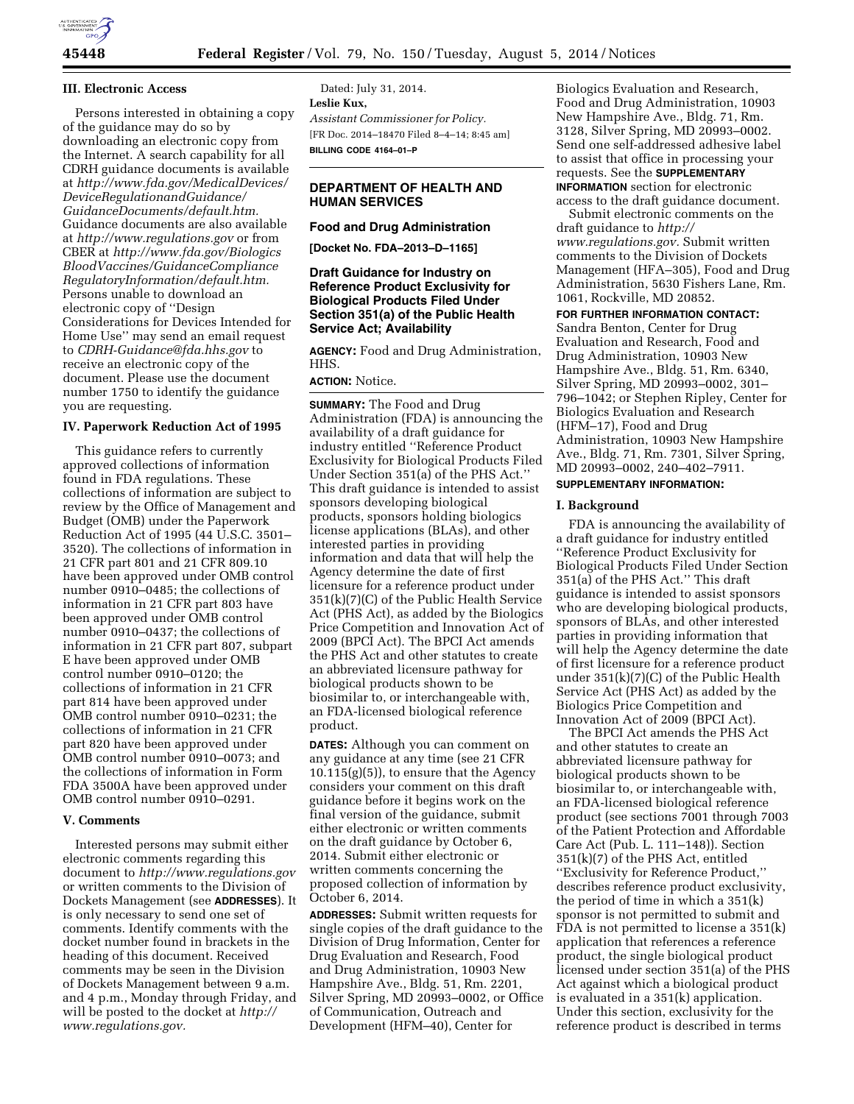

### **III. Electronic Access**

Persons interested in obtaining a copy of the guidance may do so by downloading an electronic copy from the Internet. A search capability for all CDRH guidance documents is available at *[http://www.fda.gov/MedicalDevices/](http://www.fda.gov/MedicalDevices/DeviceRegulationandGuidance/GuidanceDocuments/default.htm) [DeviceRegulationandGuidance/](http://www.fda.gov/MedicalDevices/DeviceRegulationandGuidance/GuidanceDocuments/default.htm)  [GuidanceDocuments/default.htm.](http://www.fda.gov/MedicalDevices/DeviceRegulationandGuidance/GuidanceDocuments/default.htm)*  Guidance documents are also available at *<http://www.regulations.gov>* or from CBER at *[http://www.fda.gov/Biologics](http://www.fda.gov/BiologicsBloodVaccines/GuidanceComplianceRegulatoryInformation/default.htm) [BloodVaccines/GuidanceCompliance](http://www.fda.gov/BiologicsBloodVaccines/GuidanceComplianceRegulatoryInformation/default.htm) [RegulatoryInformation/default.htm.](http://www.fda.gov/BiologicsBloodVaccines/GuidanceComplianceRegulatoryInformation/default.htm)*  Persons unable to download an electronic copy of ''Design Considerations for Devices Intended for Home Use'' may send an email request to *[CDRH-Guidance@fda.hhs.gov](mailto:CDRH-Guidance@fda.hhs.gov)* to receive an electronic copy of the document. Please use the document number 1750 to identify the guidance you are requesting.

### **IV. Paperwork Reduction Act of 1995**

This guidance refers to currently approved collections of information found in FDA regulations. These collections of information are subject to review by the Office of Management and Budget (OMB) under the Paperwork Reduction Act of 1995 (44 U.S.C. 3501– 3520). The collections of information in 21 CFR part 801 and 21 CFR 809.10 have been approved under OMB control number 0910–0485; the collections of information in 21 CFR part 803 have been approved under OMB control number 0910–0437; the collections of information in 21 CFR part 807, subpart E have been approved under OMB control number 0910–0120; the collections of information in 21 CFR part 814 have been approved under OMB control number 0910–0231; the collections of information in 21 CFR part 820 have been approved under OMB control number 0910–0073; and the collections of information in Form FDA 3500A have been approved under OMB control number 0910–0291.

### **V. Comments**

Interested persons may submit either electronic comments regarding this document to *<http://www.regulations.gov>* or written comments to the Division of Dockets Management (see **ADDRESSES**). It is only necessary to send one set of comments. Identify comments with the docket number found in brackets in the heading of this document. Received comments may be seen in the Division of Dockets Management between 9 a.m. and 4 p.m., Monday through Friday, and will be posted to the docket at *[http://](http://www.regulations.gov) [www.regulations.gov.](http://www.regulations.gov)* 

Dated: July 31, 2014. **Leslie Kux,**  *Assistant Commissioner for Policy.*  [FR Doc. 2014–18470 Filed 8–4–14; 8:45 am] **BILLING CODE 4164–01–P** 

## **DEPARTMENT OF HEALTH AND HUMAN SERVICES**

**Food and Drug Administration** 

**[Docket No. FDA–2013–D–1165]** 

### **Draft Guidance for Industry on Reference Product Exclusivity for Biological Products Filed Under Section 351(a) of the Public Health Service Act; Availability**

**AGENCY:** Food and Drug Administration, HHS.

**ACTION:** Notice.

**SUMMARY:** The Food and Drug Administration (FDA) is announcing the availability of a draft guidance for industry entitled ''Reference Product Exclusivity for Biological Products Filed Under Section 351(a) of the PHS Act.'' This draft guidance is intended to assist sponsors developing biological products, sponsors holding biologics license applications (BLAs), and other interested parties in providing information and data that will help the Agency determine the date of first licensure for a reference product under 351(k)(7)(C) of the Public Health Service Act (PHS Act), as added by the Biologics Price Competition and Innovation Act of 2009 (BPCI Act). The BPCI Act amends the PHS Act and other statutes to create an abbreviated licensure pathway for biological products shown to be biosimilar to, or interchangeable with, an FDA-licensed biological reference product.

**DATES:** Although you can comment on any guidance at any time (see 21 CFR  $10.115(g)(5)$ , to ensure that the Agency considers your comment on this draft guidance before it begins work on the final version of the guidance, submit either electronic or written comments on the draft guidance by October 6, 2014. Submit either electronic or written comments concerning the proposed collection of information by October 6, 2014.

**ADDRESSES:** Submit written requests for single copies of the draft guidance to the Division of Drug Information, Center for Drug Evaluation and Research, Food and Drug Administration, 10903 New Hampshire Ave., Bldg. 51, Rm. 2201, Silver Spring, MD 20993–0002, or Office of Communication, Outreach and Development (HFM–40), Center for

Biologics Evaluation and Research, Food and Drug Administration, 10903 New Hampshire Ave., Bldg. 71, Rm. 3128, Silver Spring, MD 20993–0002. Send one self-addressed adhesive label to assist that office in processing your requests. See the **SUPPLEMENTARY INFORMATION** section for electronic

access to the draft guidance document. Submit electronic comments on the

draft guidance to *[http://](http://www.regulations.gov) [www.regulations.gov.](http://www.regulations.gov)* Submit written comments to the Division of Dockets Management (HFA–305), Food and Drug Administration, 5630 Fishers Lane, Rm. 1061, Rockville, MD 20852.

# **FOR FURTHER INFORMATION CONTACT:**

Sandra Benton, Center for Drug Evaluation and Research, Food and Drug Administration, 10903 New Hampshire Ave., Bldg. 51, Rm. 6340, Silver Spring, MD 20993–0002, 301– 796–1042; or Stephen Ripley, Center for Biologics Evaluation and Research (HFM–17), Food and Drug Administration, 10903 New Hampshire Ave., Bldg. 71, Rm. 7301, Silver Spring, MD 20993–0002, 240–402–7911.

## **SUPPLEMENTARY INFORMATION:**

#### **I. Background**

FDA is announcing the availability of a draft guidance for industry entitled ''Reference Product Exclusivity for Biological Products Filed Under Section 351(a) of the PHS Act.'' This draft guidance is intended to assist sponsors who are developing biological products, sponsors of BLAs, and other interested parties in providing information that will help the Agency determine the date of first licensure for a reference product under 351(k)(7)(C) of the Public Health Service Act (PHS Act) as added by the Biologics Price Competition and Innovation Act of 2009 (BPCI Act).

The BPCI Act amends the PHS Act and other statutes to create an abbreviated licensure pathway for biological products shown to be biosimilar to, or interchangeable with, an FDA-licensed biological reference product (see sections 7001 through 7003 of the Patient Protection and Affordable Care Act (Pub. L. 111–148)). Section 351(k)(7) of the PHS Act, entitled ''Exclusivity for Reference Product,'' describes reference product exclusivity, the period of time in which a 351(k) sponsor is not permitted to submit and FDA is not permitted to license a 351(k) application that references a reference product, the single biological product licensed under section 351(a) of the PHS Act against which a biological product is evaluated in a 351(k) application. Under this section, exclusivity for the reference product is described in terms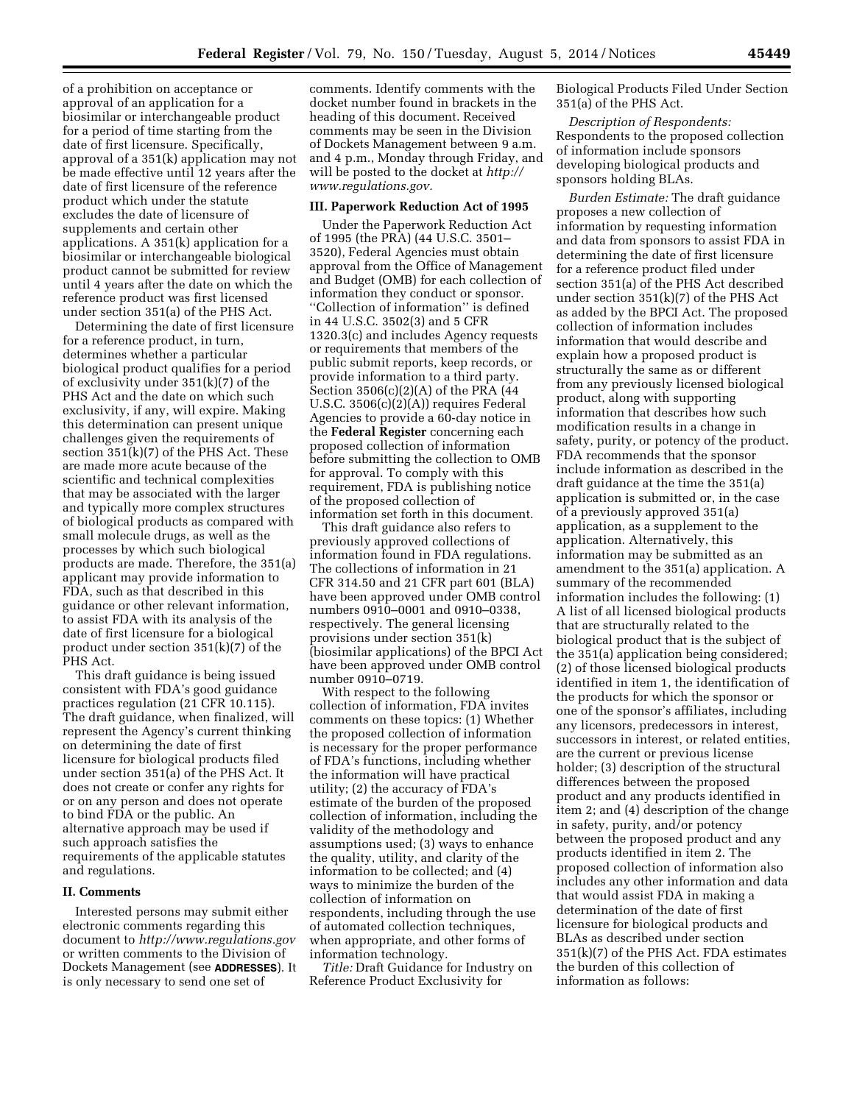of a prohibition on acceptance or approval of an application for a biosimilar or interchangeable product for a period of time starting from the date of first licensure. Specifically, approval of a 351(k) application may not be made effective until 12 years after the date of first licensure of the reference product which under the statute excludes the date of licensure of supplements and certain other applications. A 351(k) application for a biosimilar or interchangeable biological product cannot be submitted for review until 4 years after the date on which the reference product was first licensed under section 351(a) of the PHS Act.

Determining the date of first licensure for a reference product, in turn, determines whether a particular biological product qualifies for a period of exclusivity under 351(k)(7) of the PHS Act and the date on which such exclusivity, if any, will expire. Making this determination can present unique challenges given the requirements of section 351(k)(7) of the PHS Act. These are made more acute because of the scientific and technical complexities that may be associated with the larger and typically more complex structures of biological products as compared with small molecule drugs, as well as the processes by which such biological products are made. Therefore, the 351(a) applicant may provide information to FDA, such as that described in this guidance or other relevant information, to assist FDA with its analysis of the date of first licensure for a biological product under section 351(k)(7) of the PHS Act.

This draft guidance is being issued consistent with FDA's good guidance practices regulation (21 CFR 10.115). The draft guidance, when finalized, will represent the Agency's current thinking on determining the date of first licensure for biological products filed under section 351(a) of the PHS Act. It does not create or confer any rights for or on any person and does not operate to bind FDA or the public. An alternative approach may be used if such approach satisfies the requirements of the applicable statutes and regulations.

#### **II. Comments**

Interested persons may submit either electronic comments regarding this document to *<http://www.regulations.gov>* or written comments to the Division of Dockets Management (see **ADDRESSES**). It is only necessary to send one set of

comments. Identify comments with the docket number found in brackets in the heading of this document. Received comments may be seen in the Division of Dockets Management between 9 a.m. and 4 p.m., Monday through Friday, and will be posted to the docket at *[http://](http://www.regulations.gov) [www.regulations.gov.](http://www.regulations.gov)* 

#### **III. Paperwork Reduction Act of 1995**

Under the Paperwork Reduction Act of 1995 (the PRA) (44 U.S.C. 3501– 3520), Federal Agencies must obtain approval from the Office of Management and Budget (OMB) for each collection of information they conduct or sponsor. ''Collection of information'' is defined in 44 U.S.C. 3502(3) and 5 CFR 1320.3(c) and includes Agency requests or requirements that members of the public submit reports, keep records, or provide information to a third party. Section  $3506(c)(2)(A)$  of the PRA  $(44)$ U.S.C. 3506(c)(2)(A)) requires Federal Agencies to provide a 60-day notice in the **Federal Register** concerning each proposed collection of information before submitting the collection to OMB for approval. To comply with this requirement, FDA is publishing notice of the proposed collection of information set forth in this document.

This draft guidance also refers to previously approved collections of information found in FDA regulations. The collections of information in 21 CFR 314.50 and 21 CFR part 601 (BLA) have been approved under OMB control numbers 0910–0001 and 0910–0338, respectively. The general licensing provisions under section 351(k) (biosimilar applications) of the BPCI Act have been approved under OMB control number 0910–0719.

With respect to the following collection of information, FDA invites comments on these topics: (1) Whether the proposed collection of information is necessary for the proper performance of FDA's functions, including whether the information will have practical utility; (2) the accuracy of FDA's estimate of the burden of the proposed collection of information, including the validity of the methodology and assumptions used; (3) ways to enhance the quality, utility, and clarity of the information to be collected; and (4) ways to minimize the burden of the collection of information on respondents, including through the use of automated collection techniques, when appropriate, and other forms of information technology.

*Title:* Draft Guidance for Industry on Reference Product Exclusivity for

Biological Products Filed Under Section 351(a) of the PHS Act.

*Description of Respondents:*  Respondents to the proposed collection of information include sponsors developing biological products and sponsors holding BLAs.

*Burden Estimate:* The draft guidance proposes a new collection of information by requesting information and data from sponsors to assist FDA in determining the date of first licensure for a reference product filed under section 351(a) of the PHS Act described under section 351(k)(7) of the PHS Act as added by the BPCI Act. The proposed collection of information includes information that would describe and explain how a proposed product is structurally the same as or different from any previously licensed biological product, along with supporting information that describes how such modification results in a change in safety, purity, or potency of the product. FDA recommends that the sponsor include information as described in the draft guidance at the time the 351(a) application is submitted or, in the case of a previously approved 351(a) application, as a supplement to the application. Alternatively, this information may be submitted as an amendment to the 351(a) application. A summary of the recommended information includes the following: (1) A list of all licensed biological products that are structurally related to the biological product that is the subject of the 351(a) application being considered; (2) of those licensed biological products identified in item 1, the identification of the products for which the sponsor or one of the sponsor's affiliates, including any licensors, predecessors in interest, successors in interest, or related entities, are the current or previous license holder; (3) description of the structural differences between the proposed product and any products identified in item 2; and (4) description of the change in safety, purity, and/or potency between the proposed product and any products identified in item 2. The proposed collection of information also includes any other information and data that would assist FDA in making a determination of the date of first licensure for biological products and BLAs as described under section 351(k)(7) of the PHS Act. FDA estimates the burden of this collection of information as follows: